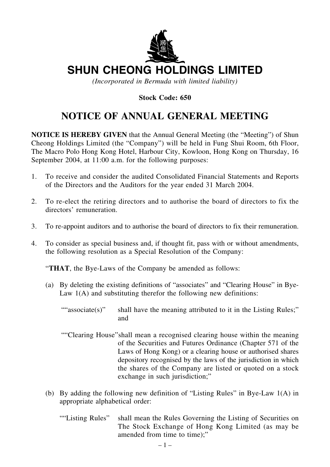

# **SHUN CHEONG HOLDINGS LIMITED**

*(Incorporated in Bermuda with limited liability)*

### **Stock Code: 650**

## **NOTICE OF ANNUAL GENERAL MEETING**

**NOTICE IS HEREBY GIVEN** that the Annual General Meeting (the "Meeting") of Shun Cheong Holdings Limited (the "Company") will be held in Fung Shui Room, 6th Floor, The Macro Polo Hong Kong Hotel, Harbour City, Kowloon, Hong Kong on Thursday, 16 September 2004, at 11:00 a.m. for the following purposes:

- 1. To receive and consider the audited Consolidated Financial Statements and Reports of the Directors and the Auditors for the year ended 31 March 2004.
- 2. To re-elect the retiring directors and to authorise the board of directors to fix the directors' remuneration.
- 3. To re-appoint auditors and to authorise the board of directors to fix their remuneration.
- 4. To consider as special business and, if thought fit, pass with or without amendments, the following resolution as a Special Resolution of the Company:

"**THAT**, the Bye-Laws of the Company be amended as follows:

- (a) By deleting the existing definitions of "associates" and "Clearing House" in Bye-Law  $1(A)$  and substituting therefor the following new definitions:
	- ""associate(s)" shall have the meaning attributed to it in the Listing Rules;" and
	- ""Clearing House"shall mean a recognised clearing house within the meaning of the Securities and Futures Ordinance (Chapter 571 of the Laws of Hong Kong) or a clearing house or authorised shares depository recognised by the laws of the jurisdiction in which the shares of the Company are listed or quoted on a stock exchange in such jurisdiction;"
- (b) By adding the following new definition of "Listing Rules" in Bye-Law 1(A) in appropriate alphabetical order:
	- ""Listing Rules" shall mean the Rules Governing the Listing of Securities on The Stock Exchange of Hong Kong Limited (as may be amended from time to time);"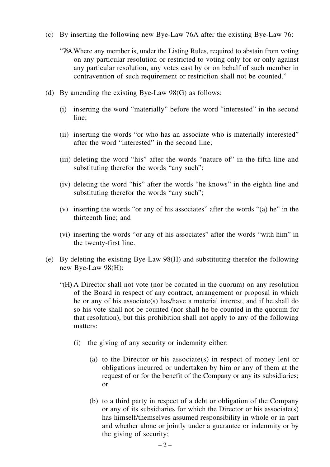- (c) By inserting the following new Bye-Law 76A after the existing Bye-Law 76:
	- "76A.Where any member is, under the Listing Rules, required to abstain from voting on any particular resolution or restricted to voting only for or only against any particular resolution, any votes cast by or on behalf of such member in contravention of such requirement or restriction shall not be counted."
- (d) By amending the existing Bye-Law 98(G) as follows:
	- (i) inserting the word "materially" before the word "interested" in the second line;
	- (ii) inserting the words "or who has an associate who is materially interested" after the word "interested" in the second line;
	- (iii) deleting the word "his" after the words "nature of" in the fifth line and substituting therefor the words "any such";
	- (iv) deleting the word "his" after the words "he knows" in the eighth line and substituting therefor the words "any such";
	- (v) inserting the words "or any of his associates" after the words "(a) he" in the thirteenth line; and
	- (vi) inserting the words "or any of his associates" after the words "with him" in the twenty-first line.
- (e) By deleting the existing Bye-Law 98(H) and substituting therefor the following new Bye-Law 98(H):
	- "(H) A Director shall not vote (nor be counted in the quorum) on any resolution of the Board in respect of any contract, arrangement or proposal in which he or any of his associate(s) has/have a material interest, and if he shall do so his vote shall not be counted (nor shall he be counted in the quorum for that resolution), but this prohibition shall not apply to any of the following matters:
		- (i) the giving of any security or indemnity either:
			- (a) to the Director or his associate(s) in respect of money lent or obligations incurred or undertaken by him or any of them at the request of or for the benefit of the Company or any its subsidiaries; or
			- (b) to a third party in respect of a debt or obligation of the Company or any of its subsidiaries for which the Director or his associate(s) has himself/themselves assumed responsibility in whole or in part and whether alone or jointly under a guarantee or indemnity or by the giving of security;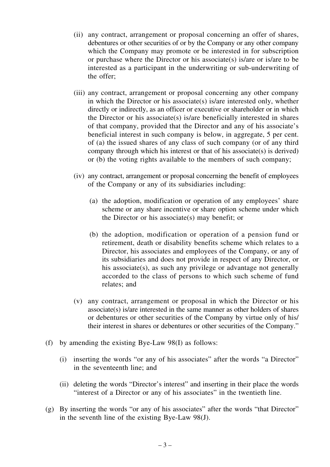- (ii) any contract, arrangement or proposal concerning an offer of shares, debentures or other securities of or by the Company or any other company which the Company may promote or be interested in for subscription or purchase where the Director or his associate(s) is/are or is/are to be interested as a participant in the underwriting or sub-underwriting of the offer;
- (iii) any contract, arrangement or proposal concerning any other company in which the Director or his associate(s) is/are interested only, whether directly or indirectly, as an officer or executive or shareholder or in which the Director or his associate(s) is/are beneficially interested in shares of that company, provided that the Director and any of his associate's beneficial interest in such company is below, in aggregate, 5 per cent. of (a) the issued shares of any class of such company (or of any third company through which his interest or that of his associate(s) is derived) or (b) the voting rights available to the members of such company;
- (iv) any contract, arrangement or proposal concerning the benefit of employees of the Company or any of its subsidiaries including:
	- (a) the adoption, modification or operation of any employees' share scheme or any share incentive or share option scheme under which the Director or his associate(s) may benefit; or
	- (b) the adoption, modification or operation of a pension fund or retirement, death or disability benefits scheme which relates to a Director, his associates and employees of the Company, or any of its subsidiaries and does not provide in respect of any Director, or his associate(s), as such any privilege or advantage not generally accorded to the class of persons to which such scheme of fund relates; and
- (v) any contract, arrangement or proposal in which the Director or his associate(s) is/are interested in the same manner as other holders of shares or debentures or other securities of the Company by virtue only of his/ their interest in shares or debentures or other securities of the Company."
- (f) by amending the existing Bye-Law 98(I) as follows:
	- (i) inserting the words "or any of his associates" after the words "a Director" in the seventeenth line; and
	- (ii) deleting the words "Director's interest" and inserting in their place the words "interest of a Director or any of his associates" in the twentieth line.
- (g) By inserting the words "or any of his associates" after the words "that Director" in the seventh line of the existing Bye-Law 98(J).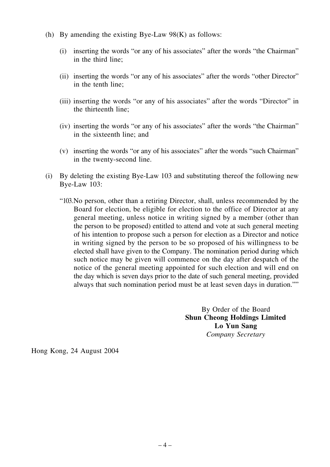- (h) By amending the existing Bye-Law  $98(K)$  as follows:
	- (i) inserting the words "or any of his associates" after the words "the Chairman" in the third line;
	- (ii) inserting the words "or any of his associates" after the words "other Director" in the tenth line;
	- (iii) inserting the words "or any of his associates" after the words "Director" in the thirteenth line;
	- (iv) inserting the words "or any of his associates" after the words "the Chairman" in the sixteenth line; and
	- (v) inserting the words "or any of his associates" after the words "such Chairman" in the twenty-second line.
- (i) By deleting the existing Bye-Law 103 and substituting thereof the following new Bye-Law 103:
	- "103.No person, other than a retiring Director, shall, unless recommended by the Board for election, be eligible for election to the office of Director at any general meeting, unless notice in writing signed by a member (other than the person to be proposed) entitled to attend and vote at such general meeting of his intention to propose such a person for election as a Director and notice in writing signed by the person to be so proposed of his willingness to be elected shall have given to the Company. The nomination period during which such notice may be given will commence on the day after despatch of the notice of the general meeting appointed for such election and will end on the day which is seven days prior to the date of such general meeting, provided always that such nomination period must be at least seven days in duration.""

By Order of the Board **Shun Cheong Holdings Limited Lo Yun Sang** *Company Secretary*

Hong Kong, 24 August 2004